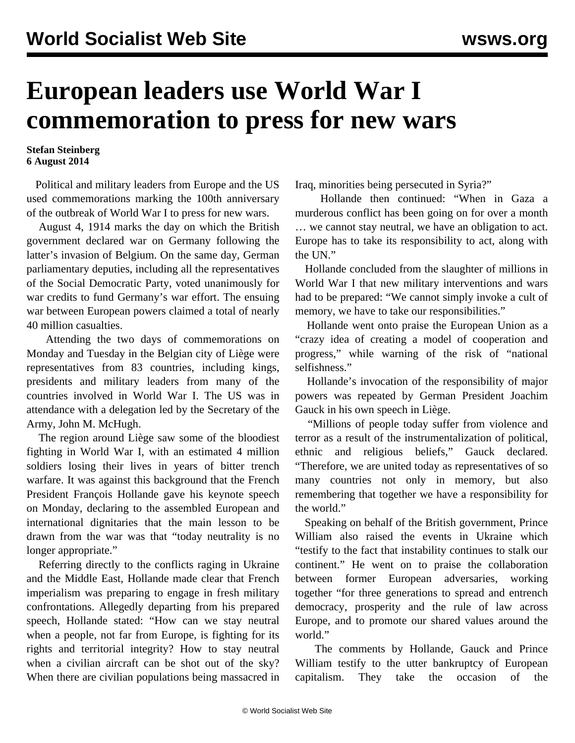## **European leaders use World War I commemoration to press for new wars**

## **Stefan Steinberg 6 August 2014**

 Political and military leaders from Europe and the US used commemorations marking the 100th anniversary of the outbreak of World War I to press for new wars.

 August 4, 1914 marks the day on which the British government declared war on Germany following the latter's invasion of Belgium. On the same day, German parliamentary deputies, including all the representatives of the Social Democratic Party, voted unanimously for war credits to fund Germany's war effort. The ensuing war between European powers claimed a total of nearly 40 million casualties.

 Attending the two days of commemorations on Monday and Tuesday in the Belgian city of Liège were representatives from 83 countries, including kings, presidents and military leaders from many of the countries involved in World War I. The US was in attendance with a delegation led by the Secretary of the Army, John M. McHugh.

 The region around Liège saw some of the bloodiest fighting in World War I, with an estimated 4 million soldiers losing their lives in years of bitter trench warfare. It was against this background that the French President François Hollande gave his keynote speech on Monday, declaring to the assembled European and international dignitaries that the main lesson to be drawn from the war was that "today neutrality is no longer appropriate."

 Referring directly to the conflicts raging in Ukraine and the Middle East, Hollande made clear that French imperialism was preparing to engage in fresh military confrontations. Allegedly departing from his prepared speech, Hollande stated: "How can we stay neutral when a people, not far from Europe, is fighting for its rights and territorial integrity? How to stay neutral when a civilian aircraft can be shot out of the sky? When there are civilian populations being massacred in Iraq, minorities being persecuted in Syria?"

 Hollande then continued: "When in Gaza a murderous conflict has been going on for over a month … we cannot stay neutral, we have an obligation to act. Europe has to take its responsibility to act, along with the UN."

 Hollande concluded from the slaughter of millions in World War I that new military interventions and wars had to be prepared: "We cannot simply invoke a cult of memory, we have to take our responsibilities."

 Hollande went onto praise the European Union as a "crazy idea of creating a model of cooperation and progress," while warning of the risk of "national selfishness."

 Hollande's invocation of the responsibility of major powers was repeated by German President Joachim Gauck in his own speech in Liège.

 "Millions of people today suffer from violence and terror as a result of the instrumentalization of political, ethnic and religious beliefs," Gauck declared. "Therefore, we are united today as representatives of so many countries not only in memory, but also remembering that together we have a responsibility for the world."

 Speaking on behalf of the British government, Prince William also raised the events in Ukraine which "testify to the fact that instability continues to stalk our continent." He went on to praise the collaboration between former European adversaries, working together "for three generations to spread and entrench democracy, prosperity and the rule of law across Europe, and to promote our shared values around the world."

 The comments by Hollande, Gauck and Prince William testify to the utter bankruptcy of European capitalism. They take the occasion of the